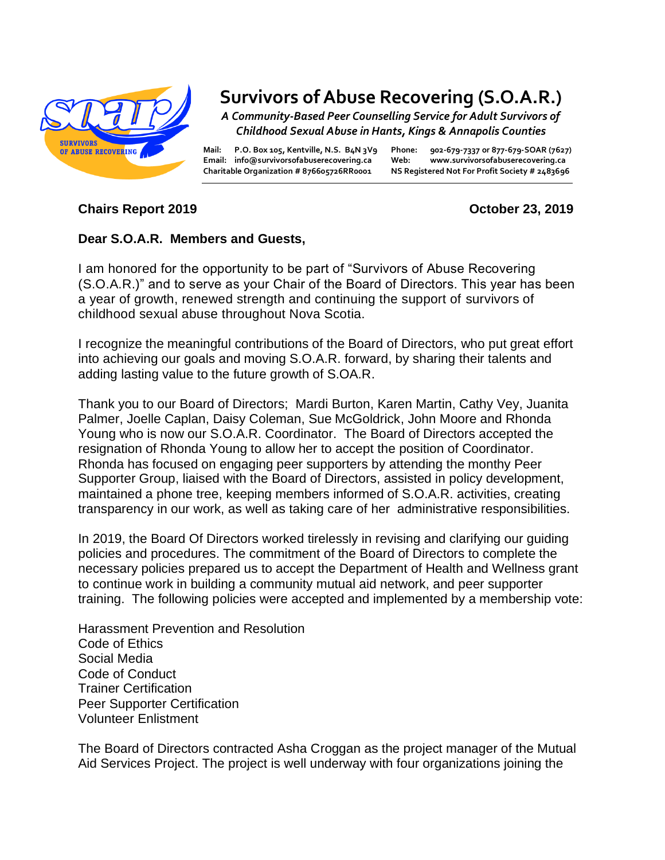

## **Survivors of Abuse Recovering (S.O.A.R.)**

*A Community-Based Peer Counselling Service for Adult Survivors of Childhood Sexual Abuse in Hants, Kings & Annapolis Counties*

**Mail: P.O. Box 105, Kentville, N.S. B4N 3V9 Phone: 902-679-7337 or 877-679-SOAR (7627) Email: info@survivorsofabuserecovering.ca Web: www.survivorsofabuserecovering.ca Charitable Organization # 876605726RR0001 NS Registered Not For Profit Society # 2483696**

## **Chairs Report 2019 October 23, 2019**

## **Dear S.O.A.R. Members and Guests,**

I am honored for the opportunity to be part of "Survivors of Abuse Recovering (S.O.A.R.)" and to serve as your Chair of the Board of Directors. This year has been a year of growth, renewed strength and continuing the support of survivors of childhood sexual abuse throughout Nova Scotia.

I recognize the meaningful contributions of the Board of Directors, who put great effort into achieving our goals and moving S.O.A.R. forward, by sharing their talents and adding lasting value to the future growth of S.OA.R.

Thank you to our Board of Directors; Mardi Burton, Karen Martin, Cathy Vey, Juanita Palmer, Joelle Caplan, Daisy Coleman, Sue McGoldrick, John Moore and Rhonda Young who is now our S.O.A.R. Coordinator. The Board of Directors accepted the resignation of Rhonda Young to allow her to accept the position of Coordinator. Rhonda has focused on engaging peer supporters by attending the monthy Peer Supporter Group, liaised with the Board of Directors, assisted in policy development, maintained a phone tree, keeping members informed of S.O.A.R. activities, creating transparency in our work, as well as taking care of her administrative responsibilities.

In 2019, the Board Of Directors worked tirelessly in revising and clarifying our guiding policies and procedures. The commitment of the Board of Directors to complete the necessary policies prepared us to accept the Department of Health and Wellness grant to continue work in building a community mutual aid network, and peer supporter training. The following policies were accepted and implemented by a membership vote:

Harassment Prevention and Resolution Code of Ethics Social Media Code of Conduct Trainer Certification Peer Supporter Certification Volunteer Enlistment

The Board of Directors contracted Asha Croggan as the project manager of the Mutual Aid Services Project. The project is well underway with four organizations joining the